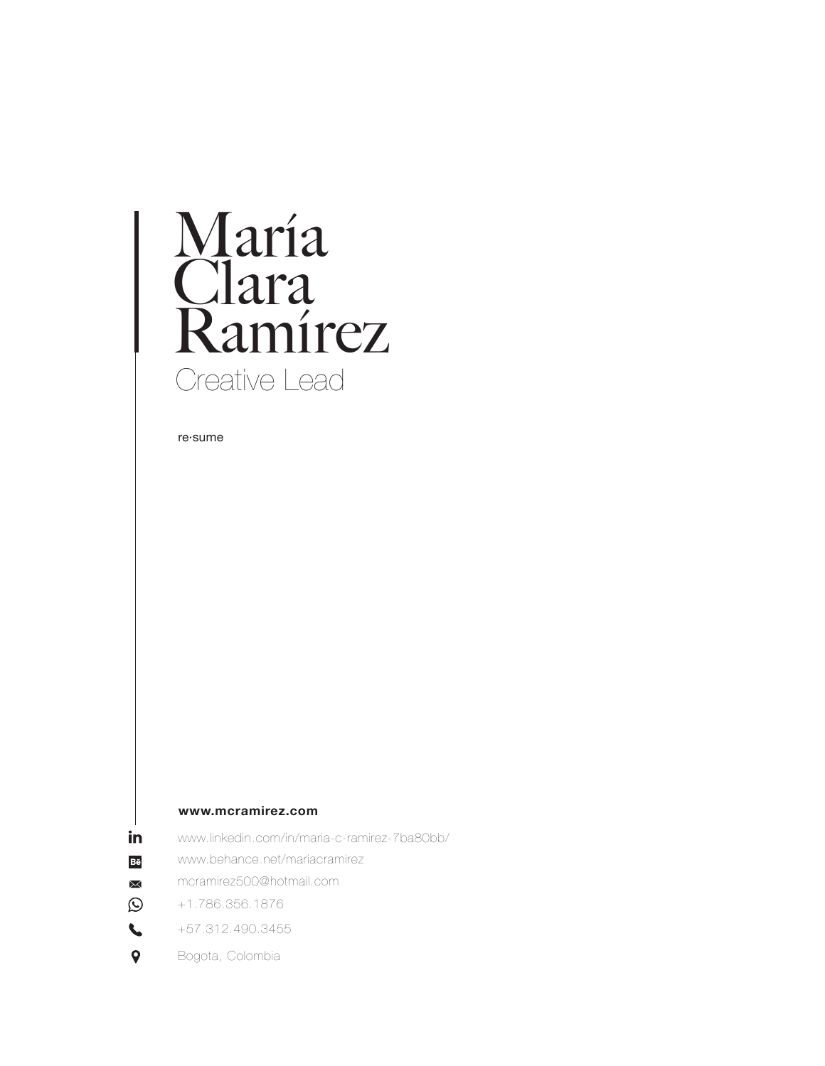# María<br>Clara<br>Ramírez Creative Lead

re-sume

#### www.mcramirez.com

- in www.linkedin.com/in/maria-c-ramirez-7ba80bb/
- Bě www.behance.net/mariacramirez
- mcramirez500@hotmail.com  $\boxtimes$
- $\odot$ +1.786.356.1876
- $\mathbf{L}$ +57.312.490.3455
- $\bullet$ Bogota, Colombia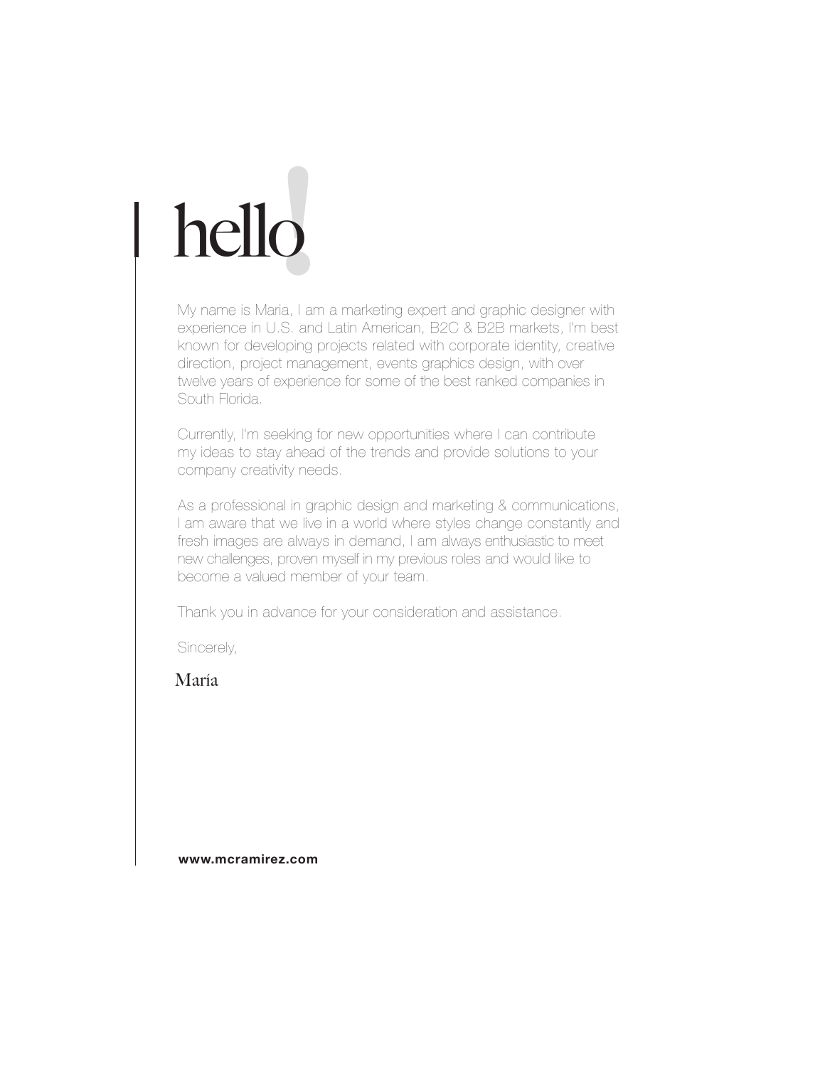# hello**!**

My name is Maria, I am a marketing expert and graphic designer with experience in U.S. and Latin American, B2C & B2B markets, I'm best known for developing projects related with corporate identity, creative direction, project management, events graphics design, with over twelve years of experience for some of the best ranked companies in South Florida.

Currently, I'm seeking for new opportunities where I can contribute my ideas to stay ahead of the trends and provide solutions to your company creativity needs.

As a professional in graphic design and marketing & communications, I am aware that we live in a world where styles change constantly and fresh images are always in demand, I am always enthusiastic to meet new challenges, proven myself in my previous roles and would like to become a valued member of your team.

Thank you in advance for your consideration and assistance.

Sincerely,

María

**www.mcramirez.com**